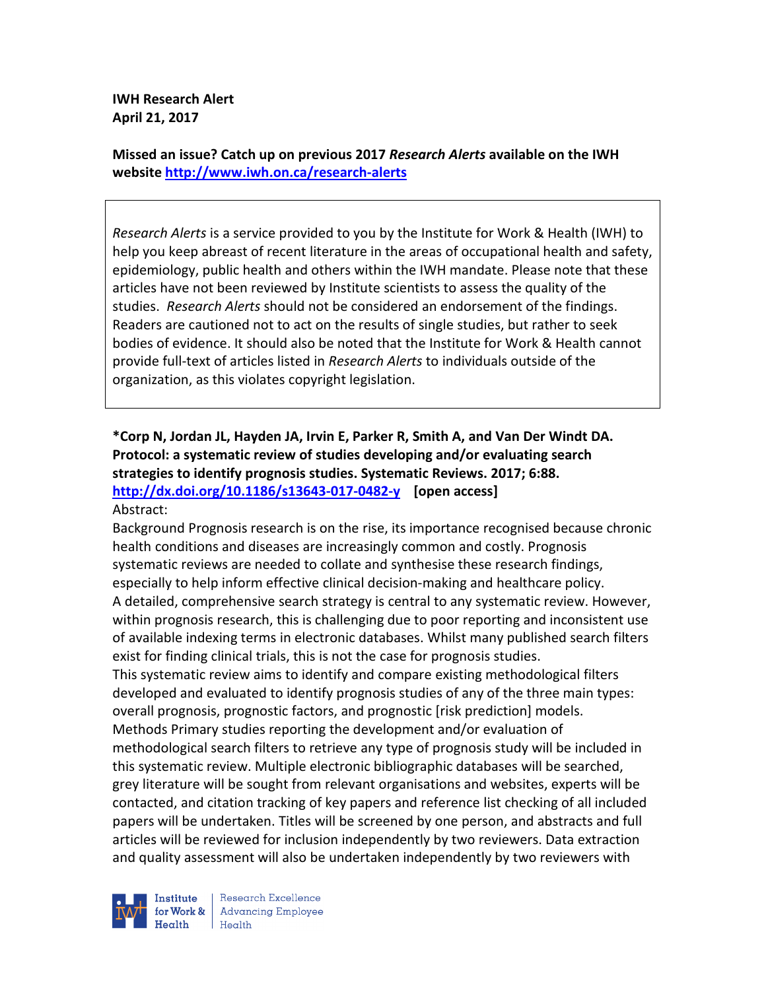**IWH Research Alert April 21, 2017** 

**Missed an issue? Catch up on previous 2017** *Research Alerts* **available on the IWH website http://www.iwh.on.ca/research-alerts**

*Research Alerts* is a service provided to you by the Institute for Work & Health (IWH) to help you keep abreast of recent literature in the areas of occupational health and safety, epidemiology, public health and others within the IWH mandate. Please note that these articles have not been reviewed by Institute scientists to assess the quality of the studies. *Research Alerts* should not be considered an endorsement of the findings. Readers are cautioned not to act on the results of single studies, but rather to seek bodies of evidence. It should also be noted that the Institute for Work & Health cannot provide full-text of articles listed in *Research Alerts* to individuals outside of the organization, as this violates copyright legislation.

#### **\*Corp N, Jordan JL, Hayden JA, Irvin E, Parker R, Smith A, and Van Der Windt DA. Protocol: a systematic review of studies developing and/or evaluating search strategies to identify prognosis studies. Systematic Reviews. 2017; 6:88. http://dx.doi.org/10.1186/s13643-017-0482-y [open access]** Abstract:

Background Prognosis research is on the rise, its importance recognised because chronic health conditions and diseases are increasingly common and costly. Prognosis systematic reviews are needed to collate and synthesise these research findings, especially to help inform effective clinical decision-making and healthcare policy. A detailed, comprehensive search strategy is central to any systematic review. However, within prognosis research, this is challenging due to poor reporting and inconsistent use of available indexing terms in electronic databases. Whilst many published search filters exist for finding clinical trials, this is not the case for prognosis studies. This systematic review aims to identify and compare existing methodological filters developed and evaluated to identify prognosis studies of any of the three main types: overall prognosis, prognostic factors, and prognostic [risk prediction] models. Methods Primary studies reporting the development and/or evaluation of methodological search filters to retrieve any type of prognosis study will be included in this systematic review. Multiple electronic bibliographic databases will be searched, grey literature will be sought from relevant organisations and websites, experts will be contacted, and citation tracking of key papers and reference list checking of all included papers will be undertaken. Titles will be screened by one person, and abstracts and full articles will be reviewed for inclusion independently by two reviewers. Data extraction and quality assessment will also be undertaken independently by two reviewers with



Research Excellence **Advancing Employee** Health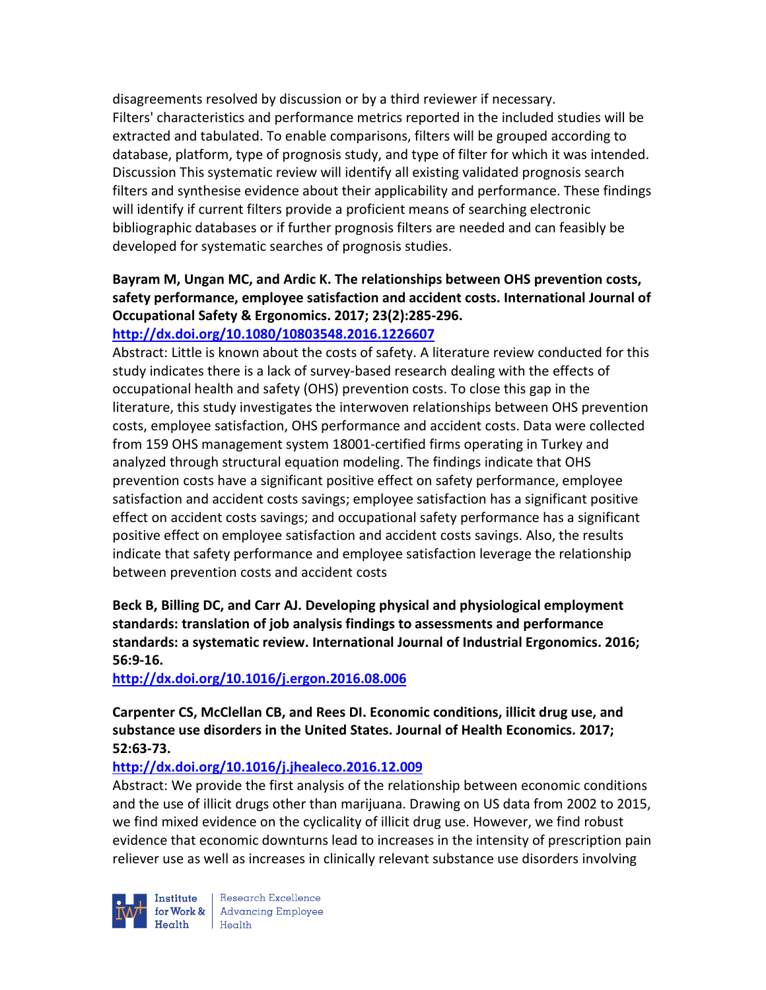disagreements resolved by discussion or by a third reviewer if necessary. Filters' characteristics and performance metrics reported in the included studies will be extracted and tabulated. To enable comparisons, filters will be grouped according to database, platform, type of prognosis study, and type of filter for which it was intended. Discussion This systematic review will identify all existing validated prognosis search filters and synthesise evidence about their applicability and performance. These findings will identify if current filters provide a proficient means of searching electronic bibliographic databases or if further prognosis filters are needed and can feasibly be developed for systematic searches of prognosis studies.

# **Bayram M, Ungan MC, and Ardic K. The relationships between OHS prevention costs, safety performance, employee satisfaction and accident costs. International Journal of Occupational Safety & Ergonomics. 2017; 23(2):285-296.**

### **http://dx.doi.org/10.1080/10803548.2016.1226607**

Abstract: Little is known about the costs of safety. A literature review conducted for this study indicates there is a lack of survey-based research dealing with the effects of occupational health and safety (OHS) prevention costs. To close this gap in the literature, this study investigates the interwoven relationships between OHS prevention costs, employee satisfaction, OHS performance and accident costs. Data were collected from 159 OHS management system 18001-certified firms operating in Turkey and analyzed through structural equation modeling. The findings indicate that OHS prevention costs have a significant positive effect on safety performance, employee satisfaction and accident costs savings; employee satisfaction has a significant positive effect on accident costs savings; and occupational safety performance has a significant positive effect on employee satisfaction and accident costs savings. Also, the results indicate that safety performance and employee satisfaction leverage the relationship between prevention costs and accident costs

### **Beck B, Billing DC, and Carr AJ. Developing physical and physiological employment standards: translation of job analysis findings to assessments and performance standards: a systematic review. International Journal of Industrial Ergonomics. 2016; 56:9-16.**

**http://dx.doi.org/10.1016/j.ergon.2016.08.006** 

**Carpenter CS, McClellan CB, and Rees DI. Economic conditions, illicit drug use, and substance use disorders in the United States. Journal of Health Economics. 2017; 52:63-73.** 

# **http://dx.doi.org/10.1016/j.jhealeco.2016.12.009**

Abstract: We provide the first analysis of the relationship between economic conditions and the use of illicit drugs other than marijuana. Drawing on US data from 2002 to 2015, we find mixed evidence on the cyclicality of illicit drug use. However, we find robust evidence that economic downturns lead to increases in the intensity of prescription pain reliever use as well as increases in clinically relevant substance use disorders involving



Research Excellence for Work & Advancing Employee Health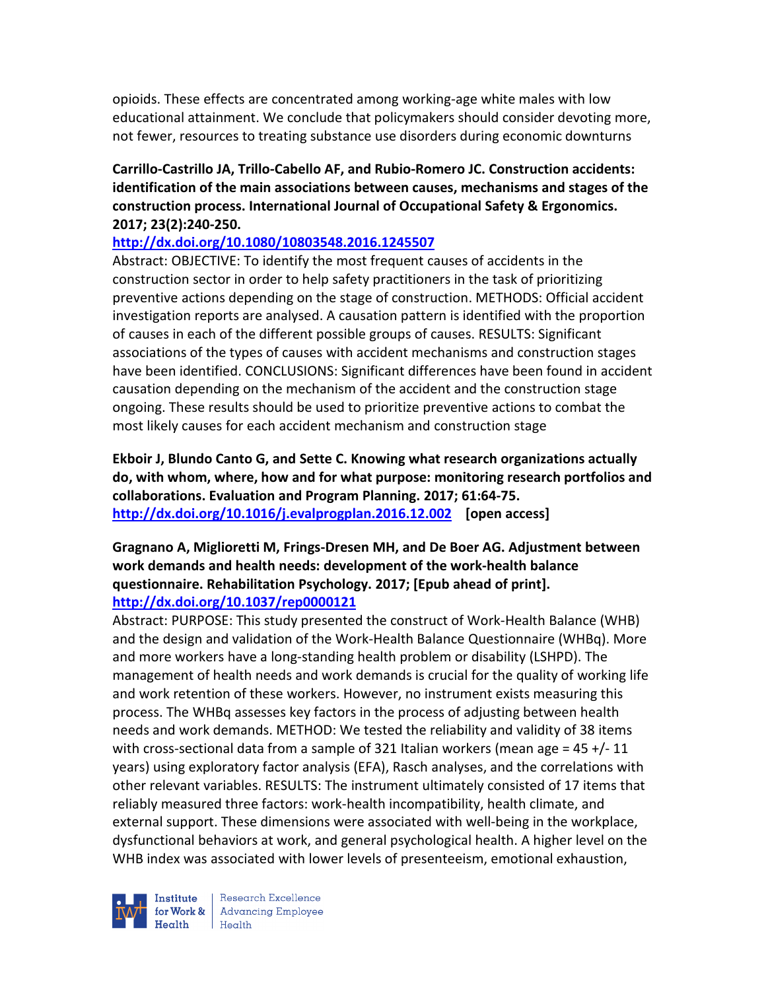opioids. These effects are concentrated among working-age white males with low educational attainment. We conclude that policymakers should consider devoting more, not fewer, resources to treating substance use disorders during economic downturns

#### **Carrillo-Castrillo JA, Trillo-Cabello AF, and Rubio-Romero JC. Construction accidents: identification of the main associations between causes, mechanisms and stages of the construction process. International Journal of Occupational Safety & Ergonomics. 2017; 23(2):240-250.**

#### **http://dx.doi.org/10.1080/10803548.2016.1245507**

Abstract: OBJECTIVE: To identify the most frequent causes of accidents in the construction sector in order to help safety practitioners in the task of prioritizing preventive actions depending on the stage of construction. METHODS: Official accident investigation reports are analysed. A causation pattern is identified with the proportion of causes in each of the different possible groups of causes. RESULTS: Significant associations of the types of causes with accident mechanisms and construction stages have been identified. CONCLUSIONS: Significant differences have been found in accident causation depending on the mechanism of the accident and the construction stage ongoing. These results should be used to prioritize preventive actions to combat the most likely causes for each accident mechanism and construction stage

**Ekboir J, Blundo Canto G, and Sette C. Knowing what research organizations actually do, with whom, where, how and for what purpose: monitoring research portfolios and collaborations. Evaluation and Program Planning. 2017; 61:64-75. http://dx.doi.org/10.1016/j.evalprogplan.2016.12.002 [open access]** 

#### **Gragnano A, Miglioretti M, Frings-Dresen MH, and De Boer AG. Adjustment between work demands and health needs: development of the work-health balance questionnaire. Rehabilitation Psychology. 2017; [Epub ahead of print]. http://dx.doi.org/10.1037/rep0000121**

Abstract: PURPOSE: This study presented the construct of Work-Health Balance (WHB) and the design and validation of the Work-Health Balance Questionnaire (WHBq). More and more workers have a long-standing health problem or disability (LSHPD). The management of health needs and work demands is crucial for the quality of working life and work retention of these workers. However, no instrument exists measuring this process. The WHBq assesses key factors in the process of adjusting between health needs and work demands. METHOD: We tested the reliability and validity of 38 items with cross-sectional data from a sample of 321 Italian workers (mean age = 45 +/- 11 years) using exploratory factor analysis (EFA), Rasch analyses, and the correlations with other relevant variables. RESULTS: The instrument ultimately consisted of 17 items that reliably measured three factors: work-health incompatibility, health climate, and external support. These dimensions were associated with well-being in the workplace, dysfunctional behaviors at work, and general psychological health. A higher level on the WHB index was associated with lower levels of presenteeism, emotional exhaustion,



Research Excellence for Work & Advancing Employee Health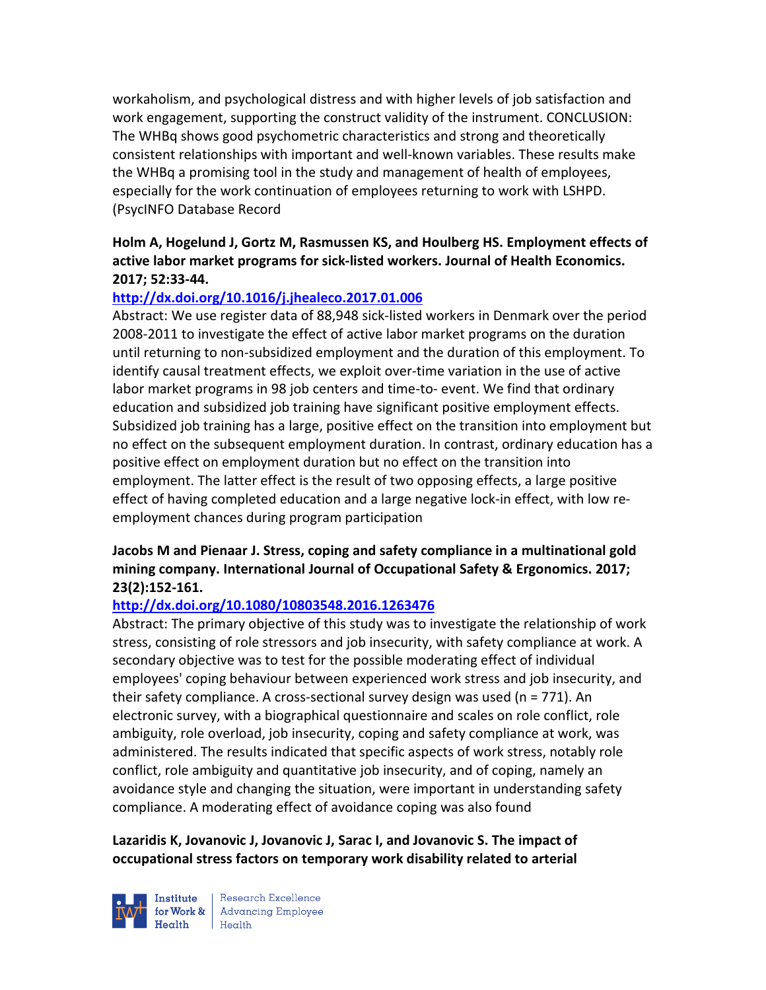workaholism, and psychological distress and with higher levels of job satisfaction and work engagement, supporting the construct validity of the instrument. CONCLUSION: The WHBq shows good psychometric characteristics and strong and theoretically consistent relationships with important and well-known variables. These results make the WHBq a promising tool in the study and management of health of employees, especially for the work continuation of employees returning to work with LSHPD. (PsycINFO Database Record

### **Holm A, Hogelund J, Gortz M, Rasmussen KS, and Houlberg HS. Employment effects of active labor market programs for sick-listed workers. Journal of Health Economics. 2017; 52:33-44.**

### **http://dx.doi.org/10.1016/j.jhealeco.2017.01.006**

Abstract: We use register data of 88,948 sick-listed workers in Denmark over the period 2008-2011 to investigate the effect of active labor market programs on the duration until returning to non-subsidized employment and the duration of this employment. To identify causal treatment effects, we exploit over-time variation in the use of active labor market programs in 98 job centers and time-to- event. We find that ordinary education and subsidized job training have significant positive employment effects. Subsidized job training has a large, positive effect on the transition into employment but no effect on the subsequent employment duration. In contrast, ordinary education has a positive effect on employment duration but no effect on the transition into employment. The latter effect is the result of two opposing effects, a large positive effect of having completed education and a large negative lock-in effect, with low reemployment chances during program participation

### **Jacobs M and Pienaar J. Stress, coping and safety compliance in a multinational gold mining company. International Journal of Occupational Safety & Ergonomics. 2017; 23(2):152-161.**

# **http://dx.doi.org/10.1080/10803548.2016.1263476**

Abstract: The primary objective of this study was to investigate the relationship of work stress, consisting of role stressors and job insecurity, with safety compliance at work. A secondary objective was to test for the possible moderating effect of individual employees' coping behaviour between experienced work stress and job insecurity, and their safety compliance. A cross-sectional survey design was used (n = 771). An electronic survey, with a biographical questionnaire and scales on role conflict, role ambiguity, role overload, job insecurity, coping and safety compliance at work, was administered. The results indicated that specific aspects of work stress, notably role conflict, role ambiguity and quantitative job insecurity, and of coping, namely an avoidance style and changing the situation, were important in understanding safety compliance. A moderating effect of avoidance coping was also found

### **Lazaridis K, Jovanovic J, Jovanovic J, Sarac I, and Jovanovic S. The impact of occupational stress factors on temporary work disability related to arterial**



Research Excellence **Advancing Employee**  $H_{\text{each}}$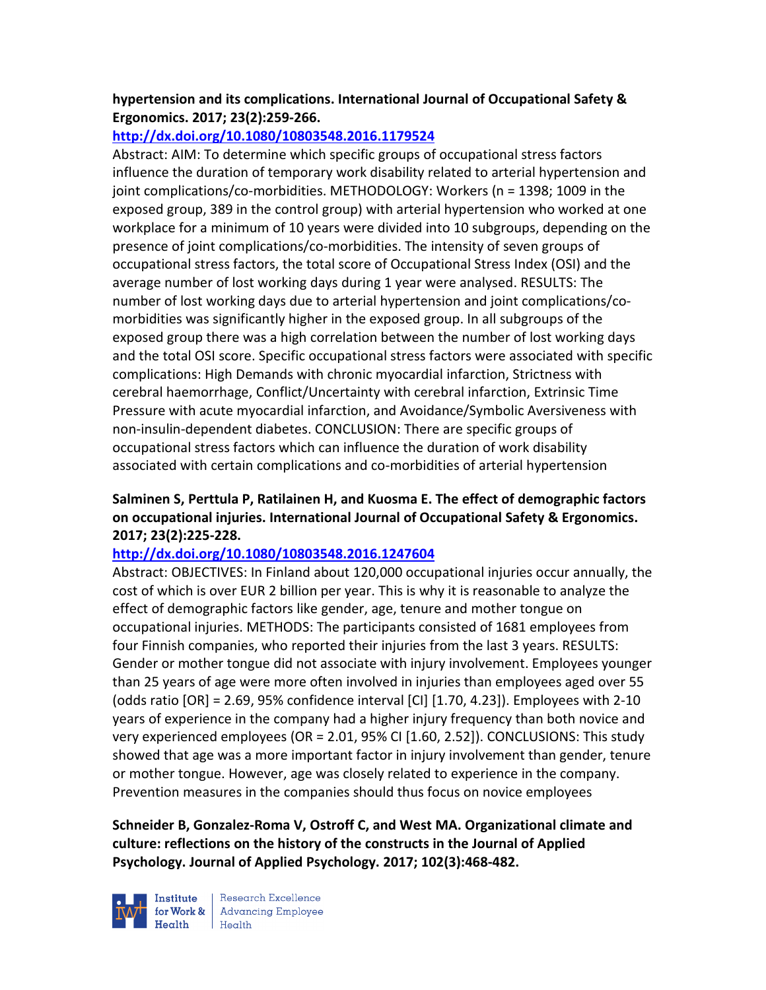### **hypertension and its complications. International Journal of Occupational Safety & Ergonomics. 2017; 23(2):259-266.**

# **http://dx.doi.org/10.1080/10803548.2016.1179524**

Abstract: AIM: To determine which specific groups of occupational stress factors influence the duration of temporary work disability related to arterial hypertension and joint complications/co-morbidities. METHODOLOGY: Workers (n = 1398; 1009 in the exposed group, 389 in the control group) with arterial hypertension who worked at one workplace for a minimum of 10 years were divided into 10 subgroups, depending on the presence of joint complications/co-morbidities. The intensity of seven groups of occupational stress factors, the total score of Occupational Stress Index (OSI) and the average number of lost working days during 1 year were analysed. RESULTS: The number of lost working days due to arterial hypertension and joint complications/comorbidities was significantly higher in the exposed group. In all subgroups of the exposed group there was a high correlation between the number of lost working days and the total OSI score. Specific occupational stress factors were associated with specific complications: High Demands with chronic myocardial infarction, Strictness with cerebral haemorrhage, Conflict/Uncertainty with cerebral infarction, Extrinsic Time Pressure with acute myocardial infarction, and Avoidance/Symbolic Aversiveness with non-insulin-dependent diabetes. CONCLUSION: There are specific groups of occupational stress factors which can influence the duration of work disability associated with certain complications and co-morbidities of arterial hypertension

### **Salminen S, Perttula P, Ratilainen H, and Kuosma E. The effect of demographic factors on occupational injuries. International Journal of Occupational Safety & Ergonomics. 2017; 23(2):225-228.**

# **http://dx.doi.org/10.1080/10803548.2016.1247604**

Abstract: OBJECTIVES: In Finland about 120,000 occupational injuries occur annually, the cost of which is over EUR 2 billion per year. This is why it is reasonable to analyze the effect of demographic factors like gender, age, tenure and mother tongue on occupational injuries. METHODS: The participants consisted of 1681 employees from four Finnish companies, who reported their injuries from the last 3 years. RESULTS: Gender or mother tongue did not associate with injury involvement. Employees younger than 25 years of age were more often involved in injuries than employees aged over 55 (odds ratio [OR] = 2.69, 95% confidence interval [CI] [1.70, 4.23]). Employees with 2-10 years of experience in the company had a higher injury frequency than both novice and very experienced employees (OR = 2.01, 95% CI [1.60, 2.52]). CONCLUSIONS: This study showed that age was a more important factor in injury involvement than gender, tenure or mother tongue. However, age was closely related to experience in the company. Prevention measures in the companies should thus focus on novice employees

**Schneider B, Gonzalez-Roma V, Ostroff C, and West MA. Organizational climate and culture: reflections on the history of the constructs in the Journal of Applied Psychology. Journal of Applied Psychology. 2017; 102(3):468-482.** 



Research Excellence  $H_{\text{eath}}$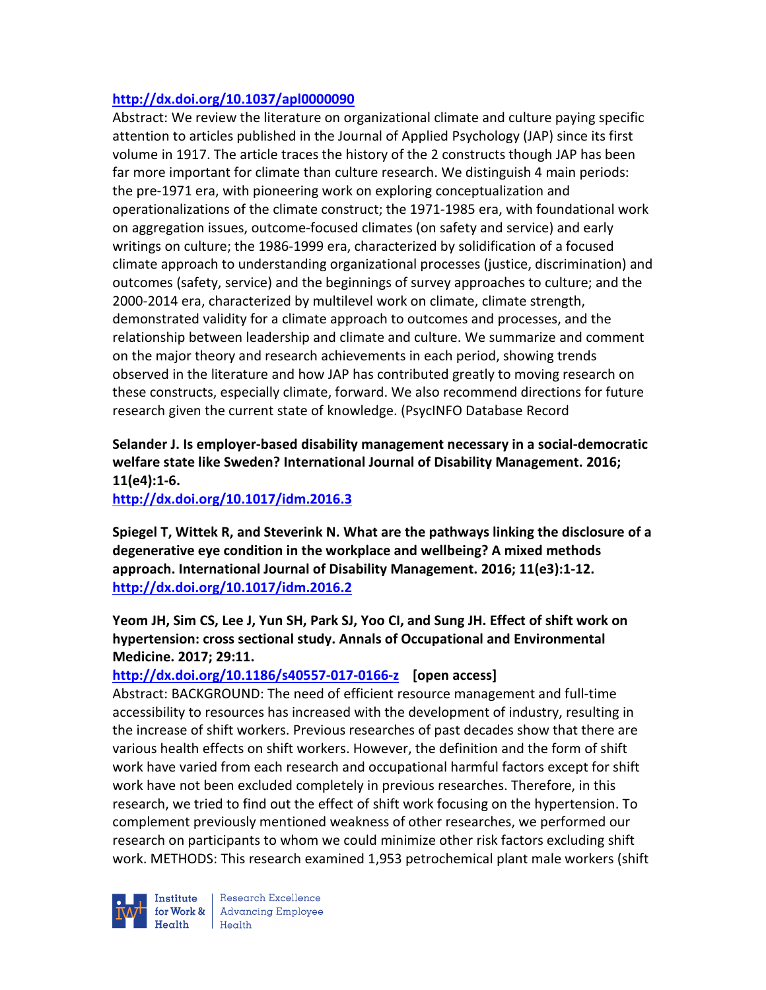#### **http://dx.doi.org/10.1037/apl0000090**

Abstract: We review the literature on organizational climate and culture paying specific attention to articles published in the Journal of Applied Psychology (JAP) since its first volume in 1917. The article traces the history of the 2 constructs though JAP has been far more important for climate than culture research. We distinguish 4 main periods: the pre-1971 era, with pioneering work on exploring conceptualization and operationalizations of the climate construct; the 1971-1985 era, with foundational work on aggregation issues, outcome-focused climates (on safety and service) and early writings on culture; the 1986-1999 era, characterized by solidification of a focused climate approach to understanding organizational processes (justice, discrimination) and outcomes (safety, service) and the beginnings of survey approaches to culture; and the 2000-2014 era, characterized by multilevel work on climate, climate strength, demonstrated validity for a climate approach to outcomes and processes, and the relationship between leadership and climate and culture. We summarize and comment on the major theory and research achievements in each period, showing trends observed in the literature and how JAP has contributed greatly to moving research on these constructs, especially climate, forward. We also recommend directions for future research given the current state of knowledge. (PsycINFO Database Record

**Selander J. Is employer-based disability management necessary in a social-democratic welfare state like Sweden? International Journal of Disability Management. 2016; 11(e4):1-6.** 

**http://dx.doi.org/10.1017/idm.2016.3** 

**Spiegel T, Wittek R, and Steverink N. What are the pathways linking the disclosure of a degenerative eye condition in the workplace and wellbeing? A mixed methods approach. International Journal of Disability Management. 2016; 11(e3):1-12. http://dx.doi.org/10.1017/idm.2016.2** 

**Yeom JH, Sim CS, Lee J, Yun SH, Park SJ, Yoo CI, and Sung JH. Effect of shift work on hypertension: cross sectional study. Annals of Occupational and Environmental Medicine. 2017; 29:11.** 

#### **http://dx.doi.org/10.1186/s40557-017-0166-z [open access]**

Abstract: BACKGROUND: The need of efficient resource management and full-time accessibility to resources has increased with the development of industry, resulting in the increase of shift workers. Previous researches of past decades show that there are various health effects on shift workers. However, the definition and the form of shift work have varied from each research and occupational harmful factors except for shift work have not been excluded completely in previous researches. Therefore, in this research, we tried to find out the effect of shift work focusing on the hypertension. To complement previously mentioned weakness of other researches, we performed our research on participants to whom we could minimize other risk factors excluding shift work. METHODS: This research examined 1,953 petrochemical plant male workers (shift



Research Excellence for Work & Advancing Employee Health